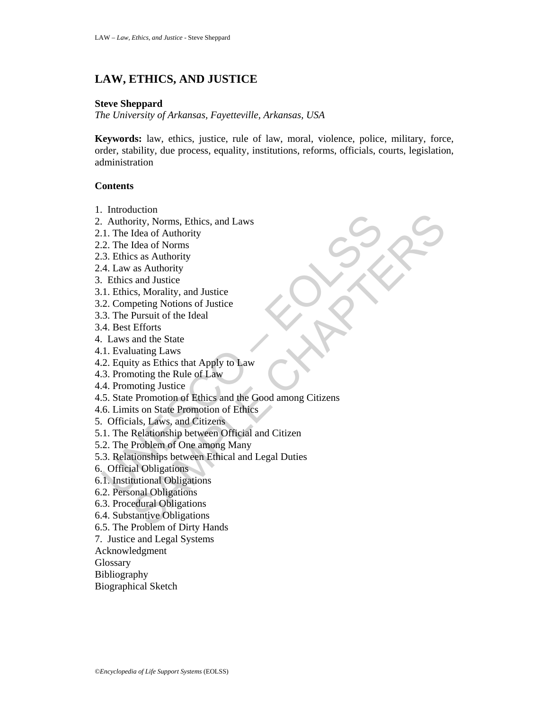# **LAW, ETHICS, AND JUSTICE**

## **Steve Sheppard**

*The University of Arkansas, Fayetteville, Arkansas, USA*

**Keywords:** law, ethics, justice, rule of law, moral, violence, police, military, force, order, stability, due process, equality, institutions, reforms, officials, courts, legislation, administration

## **Contents**

- 1. Introduction
- 2. Authority, Norms, Ethics, and Laws
- 2.1. The Idea of Authority
- 2.2. The Idea of Norms
- 2.3. Ethics as Authority
- 2.4. Law as Authority
- 3. Ethics and Justice
- 3.1. Ethics, Morality, and Justice
- 3.2. Competing Notions of Justice
- 3.3. The Pursuit of the Ideal
- 3.4. Best Efforts
- 4. Laws and the State
- 4.1. Evaluating Laws
- 4.2. Equity as Ethics that Apply to Law
- 4.3. Promoting the Rule of Law
- 4.4. Promoting Justice
- Authority, Norms, Ethics, and Laws<br>
1. The Idea of Authority<br>
2. The Idea of Norms<br>
2. The Idea of Norms<br>
3. Ethics as Authority<br>
4. Law as Authority<br>
4. Law as Authority<br>
1. Ethics, Morality, and Justice<br>
1. Ethics, Moral Extractional Chapter of Marcus Chapter and Laws<br>
Idea of Authority<br>
Idea of Norms<br>
Idea of Norms<br>
as and Institute<br>
as and Institute<br>
as and Institute<br>
Extraction<br>
Extractions of Justice<br>
Pursuit of the Ideal<br>
and the Stat 4.5. State Promotion of Ethics and the Good among Citizens
- 4.6. Limits on State Promotion of Ethics
- 5. Officials, Laws, and Citizens
- 5.1. The Relationship between Official and Citizen
- 5.2. The Problem of One among Many
- 5.3. Relationships between Ethical and Legal Duties
- 6. Official Obligations
- 6.1. Institutional Obligations
- 6.2. Personal Obligations
- 6.3. Procedural Obligations
- 6.4. Substantive Obligations
- 6.5. The Problem of Dirty Hands
- 7. Justice and Legal Systems
- Acknowledgment
- **Glossary**
- Bibliography
- Biographical Sketch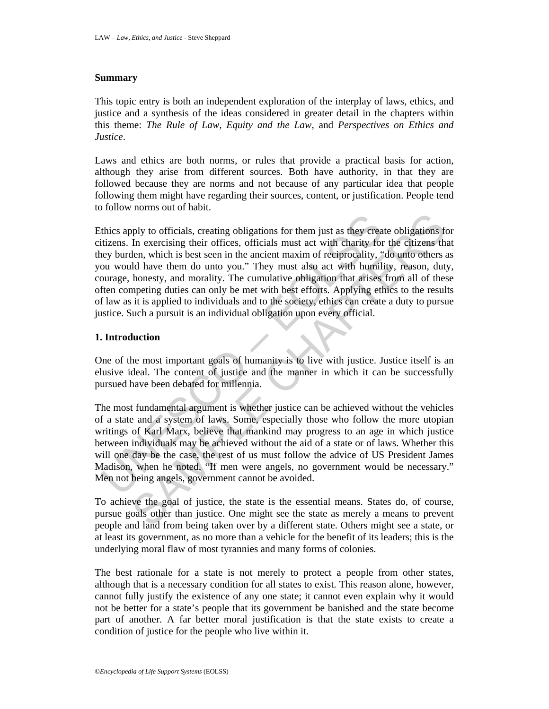#### **Summary**

This topic entry is both an independent exploration of the interplay of laws, ethics, and justice and a synthesis of the ideas considered in greater detail in the chapters within this theme: *The Rule of Law*, *Equity and the Law*, and *Perspectives on Ethics and Justice*.

Laws and ethics are both norms, or rules that provide a practical basis for action, although they arise from different sources. Both have authority, in that they are followed because they are norms and not because of any particular idea that people following them might have regarding their sources, content, or justification. People tend to follow norms out of habit.

thics apply to officials, creating obligations for them just as they creatizens. In exercising their offices, officials must act with charity for the eye burden, which is best seen in the ancient maxim of reciprocality, "o by to officials, creating obligations for them just as they create obligations for<br>In exercising their offices, officials must act with charity for the citizens than, which is best seen in the ancient maxim of reeiprocalit Ethics apply to officials, creating obligations for them just as they create obligations for citizens. In exercising their offices, officials must act with charity for the citizens that they burden, which is best seen in the ancient maxim of reciprocality, "do unto others as you would have them do unto you." They must also act with humility, reason, duty, courage, honesty, and morality. The cumulative obligation that arises from all of these often competing duties can only be met with best efforts. Applying ethics to the results of law as it is applied to individuals and to the society, ethics can create a duty to pursue justice. Such a pursuit is an individual obligation upon every official.

## **1. Introduction**

One of the most important goals of humanity is to live with justice. Justice itself is an elusive ideal. The content of justice and the manner in which it can be successfully pursued have been debated for millennia.

The most fundamental argument is whether justice can be achieved without the vehicles of a state and a system of laws. Some, especially those who follow the more utopian writings of Karl Marx, believe that mankind may progress to an age in which justice between individuals may be achieved without the aid of a state or of laws. Whether this will one day be the case, the rest of us must follow the advice of US President James Madison, when he noted, "If men were angels, no government would be necessary." Men not being angels, government cannot be avoided.

To achieve the goal of justice, the state is the essential means. States do, of course, pursue goals other than justice. One might see the state as merely a means to prevent people and land from being taken over by a different state. Others might see a state, or at least its government, as no more than a vehicle for the benefit of its leaders; this is the underlying moral flaw of most tyrannies and many forms of colonies.

The best rationale for a state is not merely to protect a people from other states, although that is a necessary condition for all states to exist. This reason alone, however, cannot fully justify the existence of any one state; it cannot even explain why it would not be better for a state's people that its government be banished and the state become part of another. A far better moral justification is that the state exists to create a condition of justice for the people who live within it.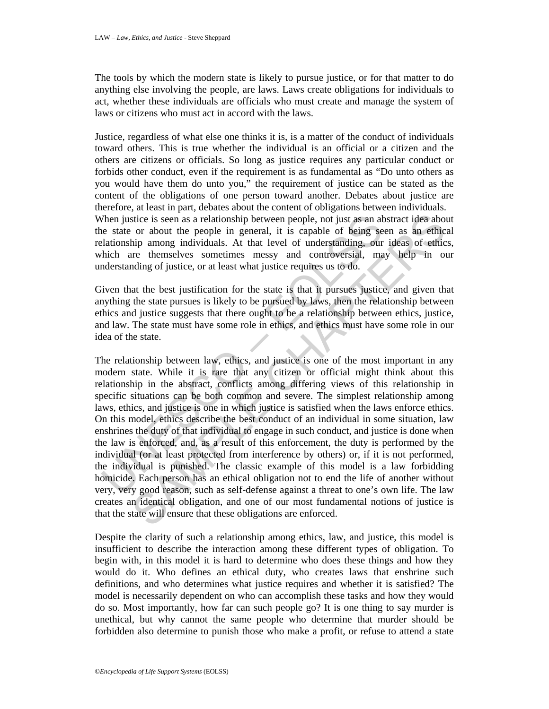The tools by which the modern state is likely to pursue justice, or for that matter to do anything else involving the people, are laws. Laws create obligations for individuals to act, whether these individuals are officials who must create and manage the system of laws or citizens who must act in accord with the laws.

Justice, regardless of what else one thinks it is, is a matter of the conduct of individuals toward others. This is true whether the individual is an official or a citizen and the others are citizens or officials. So long as justice requires any particular conduct or forbids other conduct, even if the requirement is as fundamental as "Do unto others as you would have them do unto you," the requirement of justice can be stated as the content of the obligations of one person toward another. Debates about justice are therefore, at least in part, debates about the content of obligations between individuals. When justice is seen as a relationship between people, not just as an abstract idea about the state or about the people in general, it is capable of being seen as an ethical relationship among individuals. At that level of understanding, our ideas of ethics, which are themselves sometimes messy and controversial, may help in our understanding of justice, or at least what justice requires us to do.

Given that the best justification for the state is that it pursues justice, and given that anything the state pursues is likely to be pursued by laws, then the relationship between ethics and justice suggests that there ought to be a relationship between ethics, justice, and law. The state must have some role in ethics, and ethics must have some role in our idea of the state.

Then justice is seen as a relationship between people, not just as an at<br>leadionship among individuals. At that level of understanding, our<br>hich are themselves sometimes messy and controversial, ma<br>hich are themselves some stice is seen as a relationship between people, not just as an abstract idea aboor about the people in general, it is capable of being seen as an efficicity amouge individuals. At that level of understanding, our ideas of The relationship between law, ethics, and justice is one of the most important in any modern state. While it is rare that any citizen or official might think about this relationship in the abstract, conflicts among differing views of this relationship in specific situations can be both common and severe. The simplest relationship among laws, ethics, and justice is one in which justice is satisfied when the laws enforce ethics. On this model, ethics describe the best conduct of an individual in some situation, law enshrines the duty of that individual to engage in such conduct, and justice is done when the law is enforced, and, as a result of this enforcement, the duty is performed by the individual (or at least protected from interference by others) or, if it is not performed, the individual is punished. The classic example of this model is a law forbidding homicide. Each person has an ethical obligation not to end the life of another without very, very good reason, such as self-defense against a threat to one's own life. The law creates an identical obligation, and one of our most fundamental notions of justice is that the state will ensure that these obligations are enforced.

Despite the clarity of such a relationship among ethics, law, and justice, this model is insufficient to describe the interaction among these different types of obligation. To begin with, in this model it is hard to determine who does these things and how they would do it. Who defines an ethical duty, who creates laws that enshrine such definitions, and who determines what justice requires and whether it is satisfied? The model is necessarily dependent on who can accomplish these tasks and how they would do so. Most importantly, how far can such people go? It is one thing to say murder is unethical, but why cannot the same people who determine that murder should be forbidden also determine to punish those who make a profit, or refuse to attend a state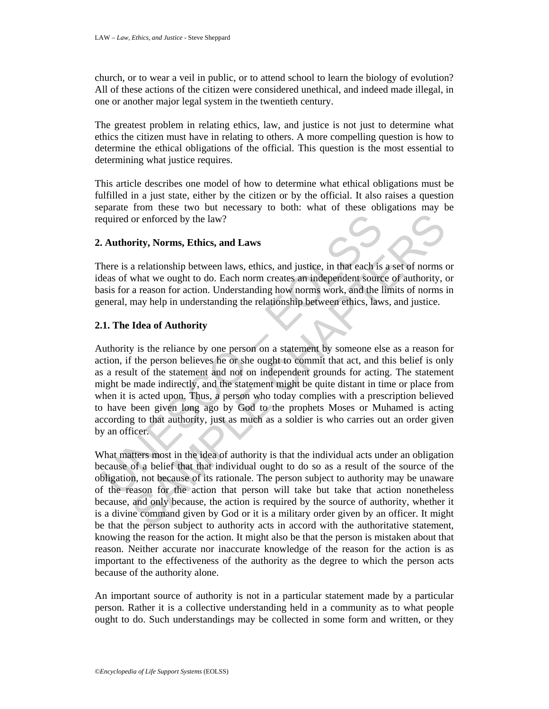church, or to wear a veil in public, or to attend school to learn the biology of evolution? All of these actions of the citizen were considered unethical, and indeed made illegal, in one or another major legal system in the twentieth century.

The greatest problem in relating ethics, law, and justice is not just to determine what ethics the citizen must have in relating to others. A more compelling question is how to determine the ethical obligations of the official. This question is the most essential to determining what justice requires.

This article describes one model of how to determine what ethical obligations must be fulfilled in a just state, either by the citizen or by the official. It also raises a question separate from these two but necessary to both: what of these obligations may be required or enforced by the law?

## **2. Authority, Norms, Ethics, and Laws**

There is a relationship between laws, ethics, and justice, in that each is a set of norms or ideas of what we ought to do. Each norm creates an independent source of authority, or basis for a reason for action. Understanding how norms work, and the limits of norms in general, may help in understanding the relationship between ethics, laws, and justice.

## **2.1. The Idea of Authority**

equired or enforced by the law?<br>
Authority, Norms, Ethics, and Laws<br>
here is a relationship between laws, ethics, and justice, in that each is<br>
leas of what we ought to do. Each norm creates an independent sources<br>
seas of or enforced by the law?<br>
Solution and Laws<br>
arelationship between laws, ethics, and justice, in that each is a set of norms what we ought to do. Each norm creates an independent source of authority, and areason for action. Authority is the reliance by one person on a statement by someone else as a reason for action, if the person believes he or she ought to commit that act, and this belief is only as a result of the statement and not on independent grounds for acting. The statement might be made indirectly, and the statement might be quite distant in time or place from when it is acted upon. Thus, a person who today complies with a prescription believed to have been given long ago by God to the prophets Moses or Muhamed is acting according to that authority, just as much as a soldier is who carries out an order given by an officer.

What matters most in the idea of authority is that the individual acts under an obligation because of a belief that that individual ought to do so as a result of the source of the obligation, not because of its rationale. The person subject to authority may be unaware of the reason for the action that person will take but take that action nonetheless because, and only because, the action is required by the source of authority, whether it is a divine command given by God or it is a military order given by an officer. It might be that the person subject to authority acts in accord with the authoritative statement, knowing the reason for the action. It might also be that the person is mistaken about that reason. Neither accurate nor inaccurate knowledge of the reason for the action is as important to the effectiveness of the authority as the degree to which the person acts because of the authority alone.

An important source of authority is not in a particular statement made by a particular person. Rather it is a collective understanding held in a community as to what people ought to do. Such understandings may be collected in some form and written, or they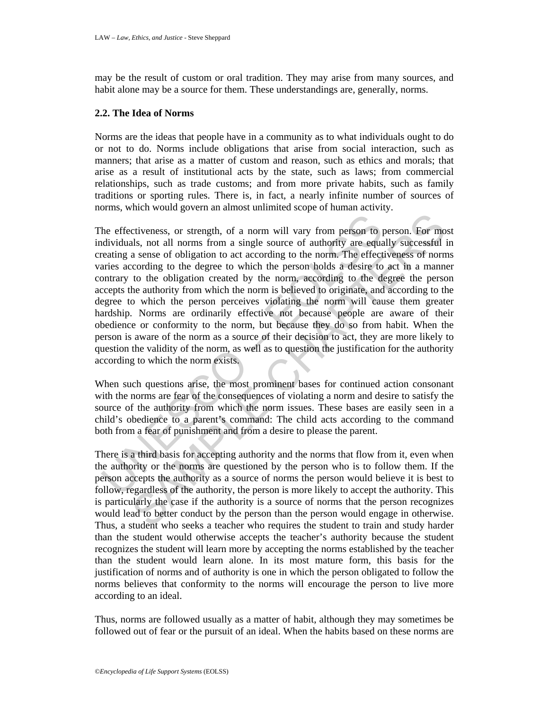may be the result of custom or oral tradition. They may arise from many sources, and habit alone may be a source for them. These understandings are, generally, norms.

#### **2.2. The Idea of Norms**

Norms are the ideas that people have in a community as to what individuals ought to do or not to do. Norms include obligations that arise from social interaction, such as manners; that arise as a matter of custom and reason, such as ethics and morals; that arise as a result of institutional acts by the state, such as laws; from commercial relationships, such as trade customs; and from more private habits, such as family traditions or sporting rules. There is, in fact, a nearly infinite number of sources of norms, which would govern an almost unlimited scope of human activity.

the effectiveness, or strength, of a norm will vary from person to politividuals, not all norms from a single source of authority are equating a sense of obligation to act according to the norm. The effect aries according ctiveness, or strength, of a norm will vary from person to person. For mousls, not all norms from a single source of authority are equally successful a sense of obligation to act according to the norm. The effectiveness of The effectiveness, or strength, of a norm will vary from person to person. For most individuals, not all norms from a single source of authority are equally successful in creating a sense of obligation to act according to the norm. The effectiveness of norms varies according to the degree to which the person holds a desire to act in a manner contrary to the obligation created by the norm, according to the degree the person accepts the authority from which the norm is believed to originate, and according to the degree to which the person perceives violating the norm will cause them greater hardship. Norms are ordinarily effective not because people are aware of their obedience or conformity to the norm, but because they do so from habit. When the person is aware of the norm as a source of their decision to act, they are more likely to question the validity of the norm, as well as to question the justification for the authority according to which the norm exists.

When such questions arise, the most prominent bases for continued action consonant with the norms are fear of the consequences of violating a norm and desire to satisfy the source of the authority from which the norm issues. These bases are easily seen in a child's obedience to a parent's command: The child acts according to the command both from a fear of punishment and from a desire to please the parent.

There is a third basis for accepting authority and the norms that flow from it, even when the authority or the norms are questioned by the person who is to follow them. If the person accepts the authority as a source of norms the person would believe it is best to follow, regardless of the authority, the person is more likely to accept the authority. This is particularly the case if the authority is a source of norms that the person recognizes would lead to better conduct by the person than the person would engage in otherwise. Thus, a student who seeks a teacher who requires the student to train and study harder than the student would otherwise accepts the teacher's authority because the student recognizes the student will learn more by accepting the norms established by the teacher than the student would learn alone. In its most mature form, this basis for the justification of norms and of authority is one in which the person obligated to follow the norms believes that conformity to the norms will encourage the person to live more according to an ideal.

Thus, norms are followed usually as a matter of habit, although they may sometimes be followed out of fear or the pursuit of an ideal. When the habits based on these norms are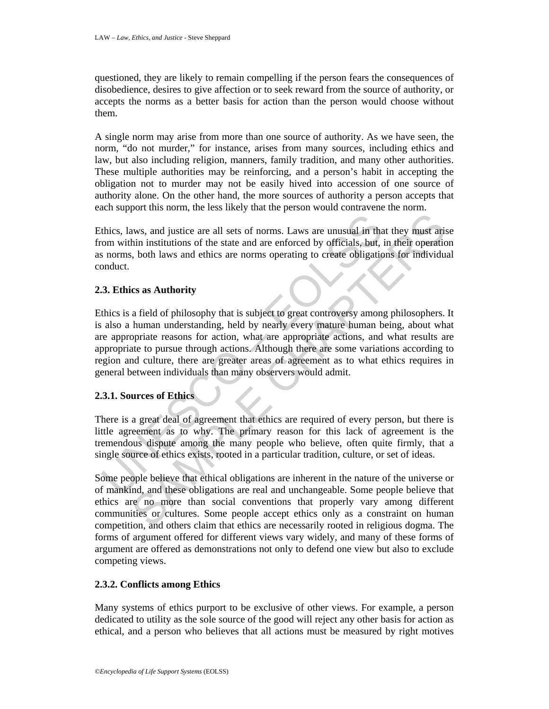questioned, they are likely to remain compelling if the person fears the consequences of disobedience, desires to give affection or to seek reward from the source of authority, or accepts the norms as a better basis for action than the person would choose without them.

A single norm may arise from more than one source of authority. As we have seen, the norm, "do not murder," for instance, arises from many sources, including ethics and law, but also including religion, manners, family tradition, and many other authorities. These multiple authorities may be reinforcing, and a person's habit in accepting the obligation not to murder may not be easily hived into accession of one source of authority alone. On the other hand, the more sources of authority a person accepts that each support this norm, the less likely that the person would contravene the norm.

Ethics, laws, and justice are all sets of norms. Laws are unusual in that they must arise from within institutions of the state and are enforced by officials, but, in their operation as norms, both laws and ethics are norms operating to create obligations for individual conduct.

## **2.3. Ethics as Authority**

thics, laws, and justice are all sets of norms. Laws are unusual in the<br>om within institutions of the state and are enforced by officials, but,<br>s norms, both laws and ethics are norms operating to create obligatic<br>onduct.<br> The same state and set of norms. Laws are unusual in that they must arises<br>thin institutions of the state and are enforced by officials, but, in their operation<br>in this institutions of the state and are enforced by officia Ethics is a field of philosophy that is subject to great controversy among philosophers. It is also a human understanding, held by nearly every mature human being, about what are appropriate reasons for action, what are appropriate actions, and what results are appropriate to pursue through actions. Although there are some variations according to region and culture, there are greater areas of agreement as to what ethics requires in general between individuals than many observers would admit.

## **2.3.1. Sources of Ethics**

There is a great deal of agreement that ethics are required of every person, but there is little agreement as to why. The primary reason for this lack of agreement is the tremendous dispute among the many people who believe, often quite firmly, that a single source of ethics exists, rooted in a particular tradition, culture, or set of ideas.

Some people believe that ethical obligations are inherent in the nature of the universe or of mankind, and these obligations are real and unchangeable. Some people believe that ethics are no more than social conventions that properly vary among different communities or cultures. Some people accept ethics only as a constraint on human competition, and others claim that ethics are necessarily rooted in religious dogma. The forms of argument offered for different views vary widely, and many of these forms of argument are offered as demonstrations not only to defend one view but also to exclude competing views.

## **2.3.2. Conflicts among Ethics**

Many systems of ethics purport to be exclusive of other views. For example, a person dedicated to utility as the sole source of the good will reject any other basis for action as ethical, and a person who believes that all actions must be measured by right motives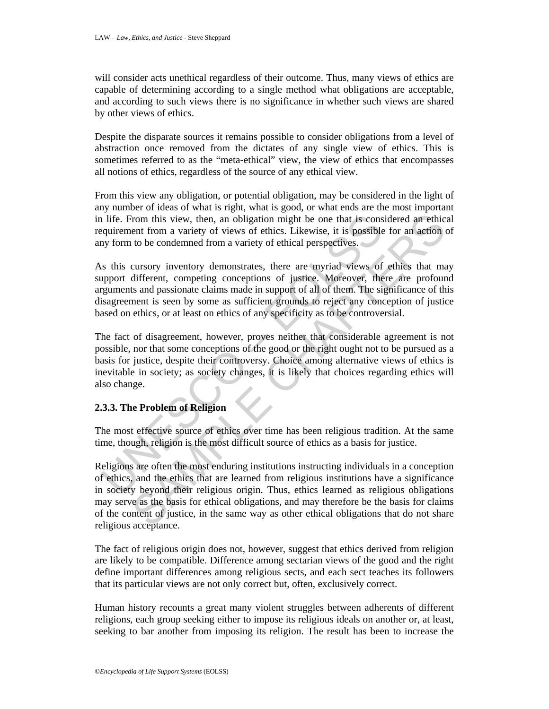will consider acts unethical regardless of their outcome. Thus, many views of ethics are capable of determining according to a single method what obligations are acceptable, and according to such views there is no significance in whether such views are shared by other views of ethics.

Despite the disparate sources it remains possible to consider obligations from a level of abstraction once removed from the dictates of any single view of ethics. This is sometimes referred to as the "meta-ethical" view, the view of ethics that encompasses all notions of ethics, regardless of the source of any ethical view.

From this view any obligation, or potential obligation, may be considered in the light of any number of ideas of what is right, what is good, or what ends are the most important in life. From this view, then, an obligation might be one that is considered an ethical requirement from a variety of views of ethics. Likewise, it is possible for an action of any form to be condemned from a variety of ethical perspectives.

The intertance of methanon and the most effective solecy beyond the solective set at is considered from a variety of views of ethics. Likewise, it is possible by form to be condemned from a variety of ethical perspectives. As this cursory inventory demonstrates, there are myriad views of ethics that may support different, competing conceptions of justice. Moreover, there are profound arguments and passionate claims made in support of all of them. The significance of this disagreement is seen by some as sufficient grounds to reject any conception of justice based on ethics, or at least on ethics of any specificity as to be controversial.

The fact of disagreement, however, proves neither that considerable agreement is not possible, nor that some conceptions of the good or the right ought not to be pursued as a basis for justice, despite their controversy. Choice among alternative views of ethics is inevitable in society; as society changes, it is likely that choices regarding ethics will also change.

## **2.3.3. The Problem of Religion**

The most effective source of ethics over time has been religious tradition. At the same time, though, religion is the most difficult source of ethics as a basis for justice.

From this view, then, an obligation might be one that is considered an ethice<br>ent from a variety of views of ethics. Likewise, it is possible for an action of<br>to be condemned from a variety of ethical perspectives.<br>Lursons Religions are often the most enduring institutions instructing individuals in a conception of ethics, and the ethics that are learned from religious institutions have a significance in society beyond their religious origin. Thus, ethics learned as religious obligations may serve as the basis for ethical obligations, and may therefore be the basis for claims of the content of justice, in the same way as other ethical obligations that do not share religious acceptance.

The fact of religious origin does not, however, suggest that ethics derived from religion are likely to be compatible. Difference among sectarian views of the good and the right define important differences among religious sects, and each sect teaches its followers that its particular views are not only correct but, often, exclusively correct.

Human history recounts a great many violent struggles between adherents of different religions, each group seeking either to impose its religious ideals on another or, at least, seeking to bar another from imposing its religion. The result has been to increase the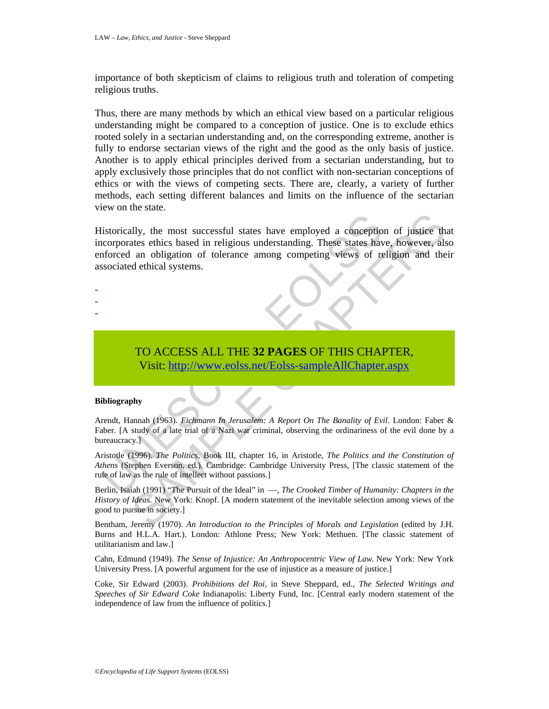importance of both skepticism of claims to religious truth and toleration of competing religious truths.

Thus, there are many methods by which an ethical view based on a particular religious understanding might be compared to a conception of justice. One is to exclude ethics rooted solely in a sectarian understanding and, on the corresponding extreme, another is fully to endorse sectarian views of the right and the good as the only basis of justice. Another is to apply ethical principles derived from a sectarian understanding, but to apply exclusively those principles that do not conflict with non-sectarian conceptions of ethics or with the views of competing sects. There are, clearly, a variety of further methods, each setting different balances and limits on the influence of the sectarian view on the state.

istorically, the most successful states have employed a conception<br>corporates ethics based in religious understanding. These states have<br>forced an obligation of tolerance among competing views of re-<br>ssociated ethical syst Illy, the most successful states have employed a conception of justice that<br>tates ethics based in religious understanding. These states have, however, als<br>an obligation of tolerance among competing views of religion and th Historically, the most successful states have employed a conception of justice that incorporates ethics based in religious understanding. These states have, however, also enforced an obligation of tolerance among competing views of religion and their associated ethical systems.

- -
- -
- -

# TO ACCESS ALL THE **32 PAGES** OF THIS CHAPTER, Visit: http://www.eolss.net/Eolss-sampleAllChapter.aspx

#### **Bibliography**

Arendt, Hannah (1963). *Eichmann In Jerusalem: A Report On The Banality of Evil*. London: Faber & Faber. [A study of a late trial of a Nazi war criminal, observing the ordinariness of the evil done by a bureaucracy.]

Aristotle (1996). *The Politics*, Book III, chapter 16, in Aristotle, *The Politics and the Constitution of Athens* (Stephen Everson, ed.). Cambridge: Cambridge University Press, [The classic statement of the rule of law as the rule of intellect without passions.]

Berlin, Isaiah (1991) "The Pursuit of the Ideal" in —, *The Crooked Timber of Humanity: Chapters in the History of Ideas.* New York: Knopf. [A modern statement of the inevitable selection among views of the good to pursue in society.]

Bentham, Jeremy (1970). *An Introduction to the Principles of Morals and Legislation* (edited by J.H. Burns and H.L.A. Hart.). London: Athlone Press; New York: Methuen. [The classic statement of utilitarianism and law.]

Cahn, Edmund (1949). *The Sense of Injustice: An Anthropocentric View of Law.* New York: New York University Press. [A powerful argument for the use of injustice as a measure of justice.]

Coke, Sir Edward (2003). *Prohibitions del Roi*, in Steve Sheppard, ed., *The Selected Writings and Speeches of Sir Edward Coke* Indianapolis: Liberty Fund, Inc. [Central early modern statement of the independence of law from the influence of politics.]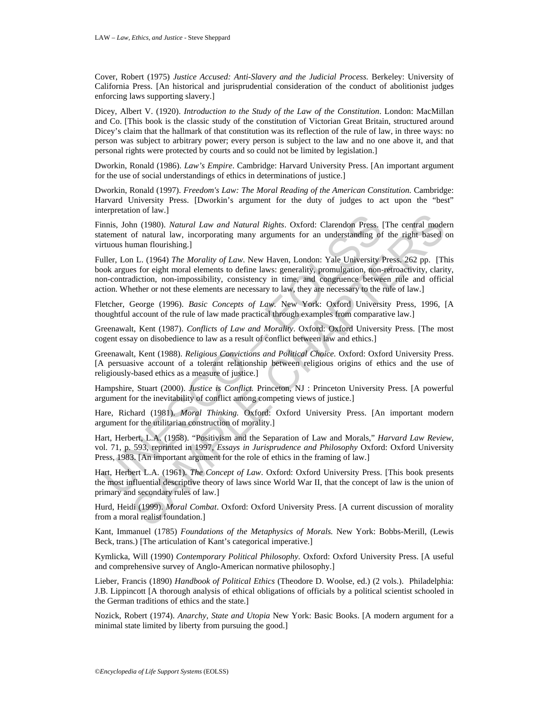Cover, Robert (1975) *Justice Accused: Anti-Slavery and the Judicial Process.* Berkeley: University of California Press. [An historical and jurisprudential consideration of the conduct of abolitionist judges enforcing laws supporting slavery.]

Dicey, Albert V. (1920). *Introduction to the Study of the Law of the Constitution*. London: MacMillan and Co. [This book is the classic study of the constitution of Victorian Great Britain, structured around Dicey's claim that the hallmark of that constitution was its reflection of the rule of law, in three ways: no person was subject to arbitrary power; every person is subject to the law and no one above it, and that personal rights were protected by courts and so could not be limited by legislation.]

Dworkin, Ronald (1986). *Law's Empire*. Cambridge: Harvard University Press. [An important argument for the use of social understandings of ethics in determinations of justice.]

Dworkin, Ronald (1997). *Freedom's Law: The Moral Reading of the American Constitution.* Cambridge: Harvard University Press. [Dworkin's argument for the duty of judges to act upon the "best" interpretation of law.]

Finnis, John (1980). *Natural Law and Natural Rights*. Oxford: Clarendon Press. [The central modern statement of natural law, incorporating many arguments for an understanding of the right based on virtuous human flourishing.]

mnis, John (1980). *Natural Law and Natural Rights*. Oxford: Clarendon Press. [<br>atement of natural law, incorporating many arguments for an understanding of<br>rtuous human flourishing.]<br>uller, Lon L. (1964) The Morality of Fraction 1.1980). *Natural Law and Natural Rights*. Oxford: Clarendon Press. [The central mode<br>of natural law, incorporating many arguments for an understanding of the right based of natural law, incorporating many argume Fuller, Lon L. (1964) *The Morality of Law*. New Haven, London: Yale University Press. 262 pp. [This book argues for eight moral elements to define laws: generality, promulgation, non-retroactivity, clarity, non-contradiction, non-impossibility, consistency in time, and congruence between rule and official action. Whether or not these elements are necessary to law, they are necessary to the rule of law.]

Fletcher, George (1996). *Basic Concepts of Law.* New York: Oxford University Press, 1996, [A thoughtful account of the rule of law made practical through examples from comparative law.]

Greenawalt, Kent (1987). *Conflicts of Law and Morality*. Oxford: Oxford University Press. [The most cogent essay on disobedience to law as a result of conflict between law and ethics.]

Greenawalt, Kent (1988). *Religious Convictions and Political Choice.* Oxford: Oxford University Press. [A persuasive account of a tolerant relationship between religious origins of ethics and the use of religiously-based ethics as a measure of justice.]

Hampshire, Stuart (2000). *Justice is Conflict.* Princeton, NJ : Princeton University Press. [A powerful argument for the inevitability of conflict among competing views of justice.]

Hare, Richard (1981). *Moral Thinking.* Oxford: Oxford University Press. [An important modern argument for the utilitarian construction of morality.]

Hart, Herbert, L.A. (1958). "Positivism and the Separation of Law and Morals," *Harvard Law Review*, vol. 71, p. 593, reprinted in 1997, *Essays in Jurisprudence and Philosophy* Oxford: Oxford University Press, 1983. [An important argument for the role of ethics in the framing of law.]

Hart, Herbert L.A. (1961). *The Concept of Law*. Oxford: Oxford University Press. [This book presents the most influential descriptive theory of laws since World War II, that the concept of law is the union of primary and secondary rules of law.]

Hurd, Heidi (1999). *Moral Combat*. Oxford: Oxford University Press. [A current discussion of morality from a moral realist foundation.]

Kant, Immanuel (1785) *Foundations of the Metaphysics of Morals.* New York: Bobbs-Merill, (Lewis Beck, trans.) [The articulation of Kant's categorical imperative.]

Kymlicka, Will (1990) *Contemporary Political Philosophy*. Oxford: Oxford University Press. [A useful and comprehensive survey of Anglo-American normative philosophy.]

Lieber, Francis (1890) *Handbook of Political Ethics* (Theodore D. Woolse, ed.) (2 vols.). Philadelphia: J.B. Lippincott [A thorough analysis of ethical obligations of officials by a political scientist schooled in the German traditions of ethics and the state.]

Nozick, Robert (1974). *Anarchy, State and Utopia* New York: Basic Books. [A modern argument for a minimal state limited by liberty from pursuing the good.]